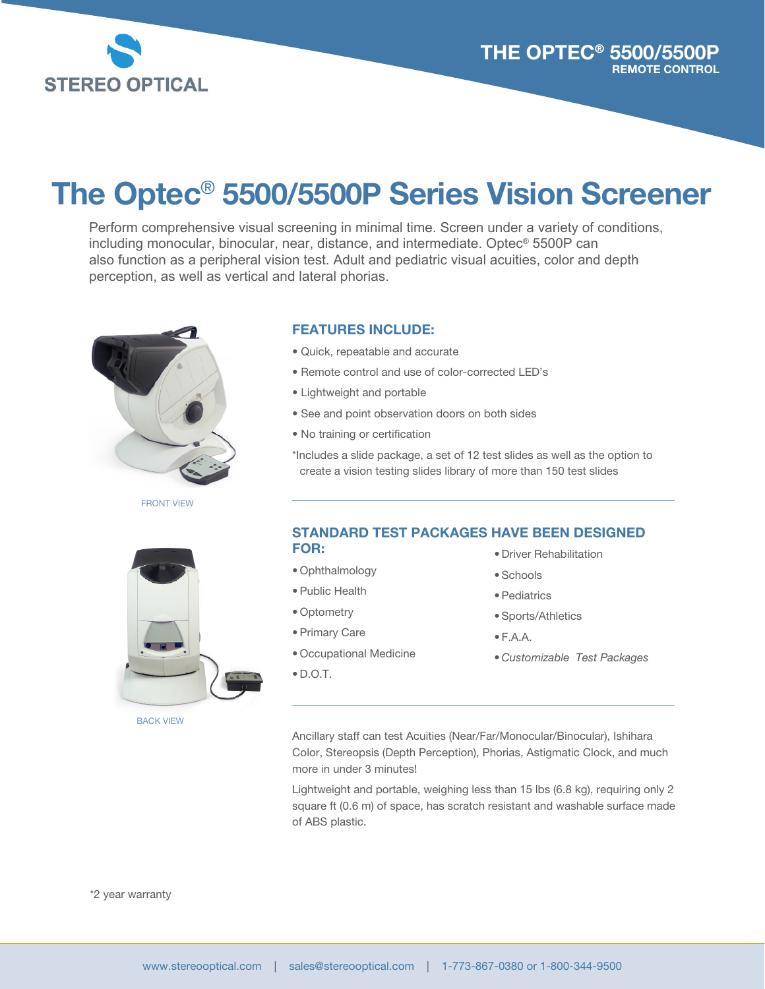

# The Optec® 5500/5500P Series Vision Screener

Perform comprehensive visual screening in minimal time. Screen under a variety of conditions, including monocular, binocular, near, distance, and intermediate. Optec® 5500P can also function as a peripheral vision test. Adult and pediatric visual acuities, color and depth perception, as well as vertical and lateral phorias.



FRONT VIEW

### FEATURES INCLUDE:

- Quick, repeatable and accurate
- Remote control and use of color-corrected LED's
- Lightweight and portable
- See and point observation doors on both sides
- No training or certification

\*Includes a slide package, a set of 12 test slides as well as the option to create a vision testing slides library of more than 150 test slides

BACK VIEW

#### STANDARD TEST PACKAGES HAVE BEEN DESIGNED FOR:

- Ophthalmology
- Public Health
- Optometry
- Primary Care
- Occupational Medicine
- D.O.T.
- Driver Rehabilitation
- Schools
- Pediatrics
- Sports/Athletics
- $\bullet$  F.A.A.
- *Customizable Test Packages*

Ancillary staff can test Acuities (Near/Far/Monocular/Binocular), Ishihara Color, Stereopsis (Depth Perception), Phorias, Astigmatic Clock, and much more in under 3 minutes!

Lightweight and portable, weighing less than 15 lbs (6.8 kg), requiring only 2 square ft (0.6 m) of space, has scratch resistant and washable surface made of ABS plastic.

\*2 year warranty